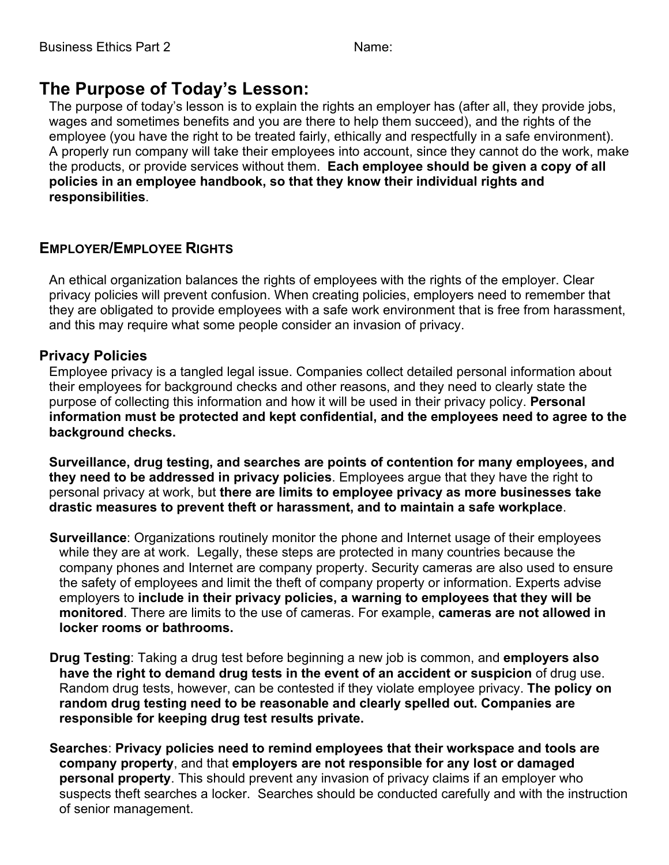# **The Purpose of Today's Lesson:**

The purpose of today's lesson is to explain the rights an employer has (after all, they provide jobs, wages and sometimes benefits and you are there to help them succeed), and the rights of the employee (you have the right to be treated fairly, ethically and respectfully in a safe environment). A properly run company will take their employees into account, since they cannot do the work, make the products, or provide services without them. **Each employee should be given a copy of all policies in an employee handbook, so that they know their individual rights and responsibilities**.

## **EMPLOYER/EMPLOYEE RIGHTS**

An ethical organization balances the rights of employees with the rights of the employer. Clear privacy policies will prevent confusion. When creating policies, employers need to remember that they are obligated to provide employees with a safe work environment that is free from harassment, and this may require what some people consider an invasion of privacy.

### **Privacy Policies**

Employee privacy is a tangled legal issue. Companies collect detailed personal information about their employees for background checks and other reasons, and they need to clearly state the purpose of collecting this information and how it will be used in their privacy policy. **Personal information must be protected and kept confidential, and the employees need to agree to the background checks.**

**Surveillance, drug testing, and searches are points of contention for many employees, and they need to be addressed in privacy policies**. Employees argue that they have the right to personal privacy at work, but **there are limits to employee privacy as more businesses take drastic measures to prevent theft or harassment, and to maintain a safe workplace**.

- **Surveillance**: Organizations routinely monitor the phone and Internet usage of their employees while they are at work. Legally, these steps are protected in many countries because the company phones and Internet are company property. Security cameras are also used to ensure the safety of employees and limit the theft of company property or information. Experts advise employers to **include in their privacy policies, a warning to employees that they will be monitored**. There are limits to the use of cameras. For example, **cameras are not allowed in locker rooms or bathrooms.**
- **Drug Testing**: Taking a drug test before beginning a new job is common, and **employers also have the right to demand drug tests in the event of an accident or suspicion** of drug use. Random drug tests, however, can be contested if they violate employee privacy. **The policy on random drug testing need to be reasonable and clearly spelled out. Companies are responsible for keeping drug test results private.**
- **Searches**: **Privacy policies need to remind employees that their workspace and tools are company property**, and that **employers are not responsible for any lost or damaged personal property**. This should prevent any invasion of privacy claims if an employer who suspects theft searches a locker. Searches should be conducted carefully and with the instruction of senior management.